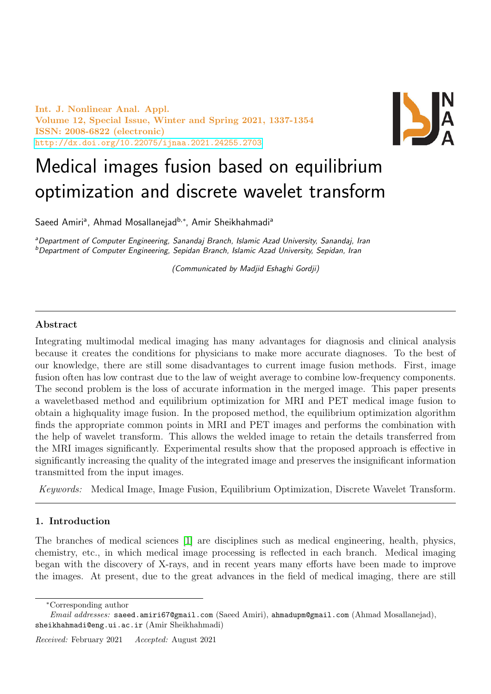Int. J. Nonlinear Anal. Appl. Volume 12, Special Issue, Winter and Spring 2021, 1337-1354 ISSN: 2008-6822 (electronic) <http://dx.doi.org/10.22075/ijnaa.2021.24255.2703>



# Medical images fusion based on equilibrium optimization and discrete wavelet transform

Saeed Amiriª, Ahmad Mosallanejad<sup>b,</sup>\*, Amir Sheikhahmadiª

<sup>a</sup>Department of Computer Engineering, Sanandaj Branch, Islamic Azad University, Sanandaj, Iran <sup>b</sup>Department of Computer Engineering, Sepidan Branch, Islamic Azad University, Sepidan, Iran

(Communicated by Madjid Eshaghi Gordji)

## Abstract

Integrating multimodal medical imaging has many advantages for diagnosis and clinical analysis because it creates the conditions for physicians to make more accurate diagnoses. To the best of our knowledge, there are still some disadvantages to current image fusion methods. First, image fusion often has low contrast due to the law of weight average to combine low-frequency components. The second problem is the loss of accurate information in the merged image. This paper presents a waveletbased method and equilibrium optimization for MRI and PET medical image fusion to obtain a highquality image fusion. In the proposed method, the equilibrium optimization algorithm finds the appropriate common points in MRI and PET images and performs the combination with the help of wavelet transform. This allows the welded image to retain the details transferred from the MRI images significantly. Experimental results show that the proposed approach is effective in significantly increasing the quality of the integrated image and preserves the insignificant information transmitted from the input images.

Keywords: Medical Image, Image Fusion, Equilibrium Optimization, Discrete Wavelet Transform.

# 1. Introduction

The branches of medical sciences [\[1\]](#page-16-0) are disciplines such as medical engineering, health, physics, chemistry, etc., in which medical image processing is reflected in each branch. Medical imaging began with the discovery of X-rays, and in recent years many efforts have been made to improve the images. At present, due to the great advances in the field of medical imaging, there are still

<sup>∗</sup>Corresponding author

Email addresses: saeed.amiri67@gmail.com (Saeed Amiri), ahmadupm@gmail.com (Ahmad Mosallanejad), sheikhahmadi@eng.ui.ac.ir (Amir Sheikhahmadi)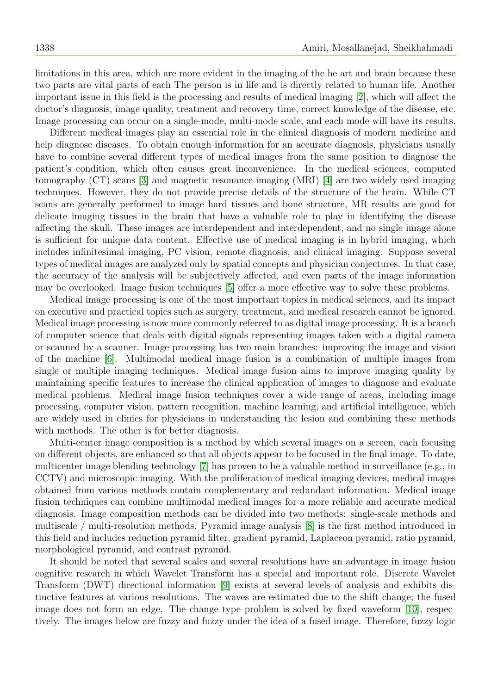limitations in this area, which are more evident in the imaging of the he art and brain because these two parts are vital parts of each The person is in life and is directly related to human life. Another important issue in this field is the processing and results of medical imaging [\[2\]](#page-16-1), which will affect the doctor's diagnosis, image quality, treatment and recovery time, correct knowledge of the disease, etc. Image processing can occur on a single-mode, multi-mode scale, and each mode will have its results.

Different medical images play an essential role in the clinical diagnosis of modern medicine and help diagnose diseases. To obtain enough information for an accurate diagnosis, physicians usually have to combine several different types of medical images from the same position to diagnose the patient's condition, which often causes great inconvenience. In the medical sciences, computed tomography (CT) scans [\[3\]](#page-16-2) and magnetic resonance imaging (MRI) [\[4\]](#page-16-3) are two widely used imaging techniques. However, they do not provide precise details of the structure of the brain. While CT scans are generally performed to image hard tissues and bone structure, MR results are good for delicate imaging tissues in the brain that have a valuable role to play in identifying the disease affecting the skull. These images are interdependent and interdependent, and no single image alone is sufficient for unique data content. Effective use of medical imaging is in hybrid imaging, which includes infinitesimal imaging, PC vision, remote diagnosis, and clinical imaging. Suppose several types of medical images are analyzed only by spatial concepts and physician conjectures. In that case, the accuracy of the analysis will be subjectively affected, and even parts of the image information may be overlooked. Image fusion techniques [\[5\]](#page-16-4) offer a more effective way to solve these problems.

Medical image processing is one of the most important topics in medical sciences, and its impact on executive and practical topics such as surgery, treatment, and medical research cannot be ignored. Medical image processing is now more commonly referred to as digital image processing. It is a branch of computer science that deals with digital signals representing images taken with a digital camera or scanned by a scanner. Image processing has two main branches: improving the image and vision of the machine [\[6\]](#page-16-5). Multimodal medical image fusion is a combination of multiple images from single or multiple imaging techniques. Medical image fusion aims to improve imaging quality by maintaining specific features to increase the clinical application of images to diagnose and evaluate medical problems. Medical image fusion techniques cover a wide range of areas, including image processing, computer vision, pattern recognition, machine learning, and artificial intelligence, which are widely used in clinics for physicians in understanding the lesion and combining these methods with methods. The other is for better diagnosis.

Multi-center image composition is a method by which several images on a screen, each focusing on different objects, are enhanced so that all objects appear to be focused in the final image. To date, multicenter image blending technology [\[7\]](#page-16-6) has proven to be a valuable method in surveillance (e.g., in CCTV) and microscopic imaging. With the proliferation of medical imaging devices, medical images obtained from various methods contain complementary and redundant information. Medical image fusion techniques can combine multimodal medical images for a more reliable and accurate medical diagnosis. Image composition methods can be divided into two methods: single-scale methods and multiscale / multi-resolution methods. Pyramid image analysis [\[8\]](#page-16-7) is the first method introduced in this field and includes reduction pyramid filter, gradient pyramid, Laplaceon pyramid, ratio pyramid, morphological pyramid, and contrast pyramid.

It should be noted that several scales and several resolutions have an advantage in image fusion cognitive research in which Wavelet Transform has a special and important role. Discrete Wavelet Transform (DWT) directional information [\[9\]](#page-16-8) exists at several levels of analysis and exhibits distinctive features at various resolutions. The waves are estimated due to the shift change; the fused image does not form an edge. The change type problem is solved by fixed waveform [\[10\]](#page-16-9), respectively. The images below are fuzzy and fuzzy under the idea of a fused image. Therefore, fuzzy logic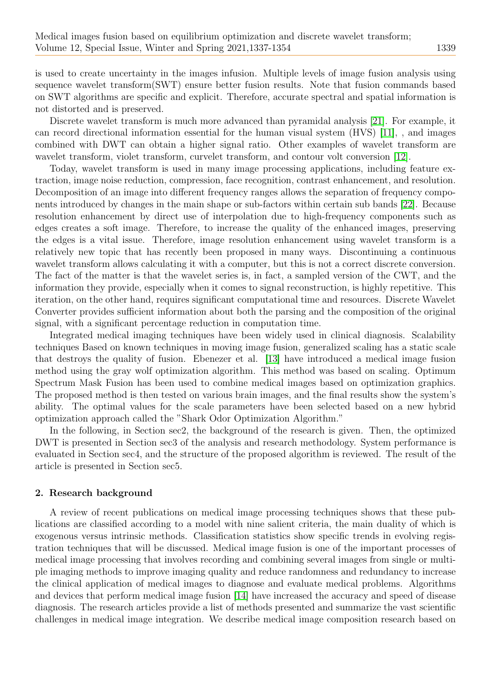is used to create uncertainty in the images infusion. Multiple levels of image fusion analysis using sequence wavelet transform(SWT) ensure better fusion results. Note that fusion commands based on SWT algorithms are specific and explicit. Therefore, accurate spectral and spatial information is not distorted and is preserved.

Discrete wavelet transform is much more advanced than pyramidal analysis [\[21\]](#page-16-10). For example, it can record directional information essential for the human visual system (HVS) [\[11\]](#page-16-11), , and images combined with DWT can obtain a higher signal ratio. Other examples of wavelet transform are wavelet transform, violet transform, curvelet transform, and contour volt conversion [\[12\]](#page-16-12).

Today, wavelet transform is used in many image processing applications, including feature extraction, image noise reduction, compression, face recognition, contrast enhancement, and resolution. Decomposition of an image into different frequency ranges allows the separation of frequency components introduced by changes in the main shape or sub-factors within certain sub bands [\[22\]](#page-17-0). Because resolution enhancement by direct use of interpolation due to high-frequency components such as edges creates a soft image. Therefore, to increase the quality of the enhanced images, preserving the edges is a vital issue. Therefore, image resolution enhancement using wavelet transform is a relatively new topic that has recently been proposed in many ways. Discontinuing a continuous wavelet transform allows calculating it with a computer, but this is not a correct discrete conversion. The fact of the matter is that the wavelet series is, in fact, a sampled version of the CWT, and the information they provide, especially when it comes to signal reconstruction, is highly repetitive. This iteration, on the other hand, requires significant computational time and resources. Discrete Wavelet Converter provides sufficient information about both the parsing and the composition of the original signal, with a significant percentage reduction in computation time.

Integrated medical imaging techniques have been widely used in clinical diagnosis. Scalability techniques Based on known techniques in moving image fusion, generalized scaling has a static scale that destroys the quality of fusion. Ebenezer et al. [\[13\]](#page-16-13) have introduced a medical image fusion method using the gray wolf optimization algorithm. This method was based on scaling. Optimum Spectrum Mask Fusion has been used to combine medical images based on optimization graphics. The proposed method is then tested on various brain images, and the final results show the system's ability. The optimal values for the scale parameters have been selected based on a new hybrid optimization approach called the "Shark Odor Optimization Algorithm."

In the following, in Section sec2, the background of the research is given. Then, the optimized DWT is presented in Section sec3 of the analysis and research methodology. System performance is evaluated in Section sec4, and the structure of the proposed algorithm is reviewed. The result of the article is presented in Section sec5.

## 2. Research background

A review of recent publications on medical image processing techniques shows that these publications are classified according to a model with nine salient criteria, the main duality of which is exogenous versus intrinsic methods. Classification statistics show specific trends in evolving registration techniques that will be discussed. Medical image fusion is one of the important processes of medical image processing that involves recording and combining several images from single or multiple imaging methods to improve imaging quality and reduce randomness and redundancy to increase the clinical application of medical images to diagnose and evaluate medical problems. Algorithms and devices that perform medical image fusion [\[14\]](#page-16-14) have increased the accuracy and speed of disease diagnosis. The research articles provide a list of methods presented and summarize the vast scientific challenges in medical image integration. We describe medical image composition research based on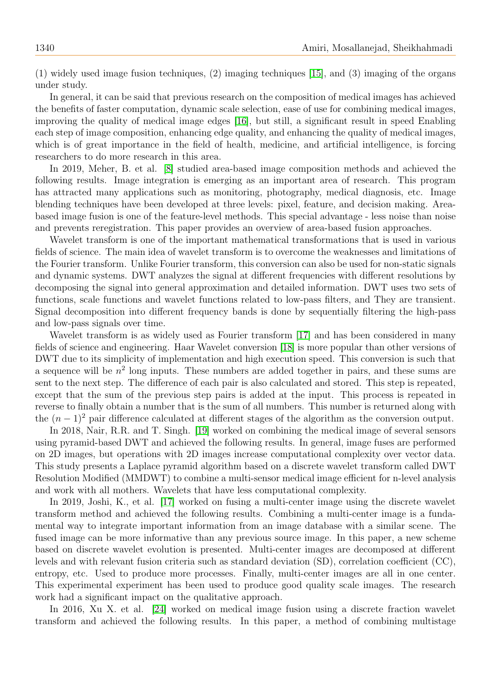(1) widely used image fusion techniques, (2) imaging techniques [\[15\]](#page-16-15), and (3) imaging of the organs under study.

In general, it can be said that previous research on the composition of medical images has achieved the benefits of faster computation, dynamic scale selection, ease of use for combining medical images, improving the quality of medical image edges [\[16\]](#page-16-16), but still, a significant result in speed Enabling each step of image composition, enhancing edge quality, and enhancing the quality of medical images, which is of great importance in the field of health, medicine, and artificial intelligence, is forcing researchers to do more research in this area.

In 2019, Meher, B. et al. [\[8\]](#page-16-7) studied area-based image composition methods and achieved the following results. Image integration is emerging as an important area of research. This program has attracted many applications such as monitoring, photography, medical diagnosis, etc. Image blending techniques have been developed at three levels: pixel, feature, and decision making. Areabased image fusion is one of the feature-level methods. This special advantage - less noise than noise and prevents reregistration. This paper provides an overview of area-based fusion approaches.

Wavelet transform is one of the important mathematical transformations that is used in various fields of science. The main idea of wavelet transform is to overcome the weaknesses and limitations of the Fourier transform. Unlike Fourier transform, this conversion can also be used for non-static signals and dynamic systems. DWT analyzes the signal at different frequencies with different resolutions by decomposing the signal into general approximation and detailed information. DWT uses two sets of functions, scale functions and wavelet functions related to low-pass filters, and They are transient. Signal decomposition into different frequency bands is done by sequentially filtering the high-pass and low-pass signals over time.

Wavelet transform is as widely used as Fourier transform [\[17\]](#page-16-17) and has been considered in many fields of science and engineering. Haar Wavelet conversion [\[18\]](#page-16-18) is more popular than other versions of DWT due to its simplicity of implementation and high execution speed. This conversion is such that a sequence will be  $n^2$  long inputs. These numbers are added together in pairs, and these sums are sent to the next step. The difference of each pair is also calculated and stored. This step is repeated, except that the sum of the previous step pairs is added at the input. This process is repeated in reverse to finally obtain a number that is the sum of all numbers. This number is returned along with the  $(n-1)^2$  pair difference calculated at different stages of the algorithm as the conversion output.

In 2018, Nair, R.R. and T. Singh. [\[19\]](#page-16-19) worked on combining the medical image of several sensors using pyramid-based DWT and achieved the following results. In general, image fuses are performed on 2D images, but operations with 2D images increase computational complexity over vector data. This study presents a Laplace pyramid algorithm based on a discrete wavelet transform called DWT Resolution Modified (MMDWT) to combine a multi-sensor medical image efficient for n-level analysis and work with all mothers. Wavelets that have less computational complexity.

In 2019, Joshi, K., et al. [\[17\]](#page-16-17) worked on fusing a multi-center image using the discrete wavelet transform method and achieved the following results. Combining a multi-center image is a fundamental way to integrate important information from an image database with a similar scene. The fused image can be more informative than any previous source image. In this paper, a new scheme based on discrete wavelet evolution is presented. Multi-center images are decomposed at different levels and with relevant fusion criteria such as standard deviation (SD), correlation coefficient (CC), entropy, etc. Used to produce more processes. Finally, multi-center images are all in one center. This experimental experiment has been used to produce good quality scale images. The research work had a significant impact on the qualitative approach.

In 2016, Xu X. et al. [\[24\]](#page-17-1) worked on medical image fusion using a discrete fraction wavelet transform and achieved the following results. In this paper, a method of combining multistage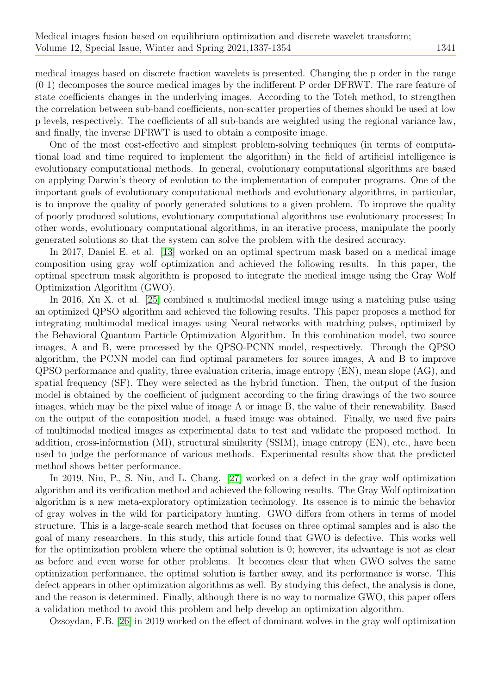medical images based on discrete fraction wavelets is presented. Changing the p order in the range (0 1) decomposes the source medical images by the indifferent P order DFRWT. The rare feature of state coefficients changes in the underlying images. According to the Toteh method, to strengthen the correlation between sub-band coefficients, non-scatter properties of themes should be used at low p levels, respectively. The coefficients of all sub-bands are weighted using the regional variance law, and finally, the inverse DFRWT is used to obtain a composite image.

One of the most cost-effective and simplest problem-solving techniques (in terms of computational load and time required to implement the algorithm) in the field of artificial intelligence is evolutionary computational methods. In general, evolutionary computational algorithms are based on applying Darwin's theory of evolution to the implementation of computer programs. One of the important goals of evolutionary computational methods and evolutionary algorithms, in particular, is to improve the quality of poorly generated solutions to a given problem. To improve the quality of poorly produced solutions, evolutionary computational algorithms use evolutionary processes; In other words, evolutionary computational algorithms, in an iterative process, manipulate the poorly generated solutions so that the system can solve the problem with the desired accuracy.

In 2017, Daniel E. et al. [\[13\]](#page-16-13) worked on an optimal spectrum mask based on a medical image composition using gray wolf optimization and achieved the following results. In this paper, the optimal spectrum mask algorithm is proposed to integrate the medical image using the Gray Wolf Optimization Algorithm (GWO).

In 2016, Xu X. et al. [\[25\]](#page-17-2) combined a multimodal medical image using a matching pulse using an optimized QPSO algorithm and achieved the following results. This paper proposes a method for integrating multimodal medical images using Neural networks with matching pulses, optimized by the Behavioral Quantum Particle Optimization Algorithm. In this combination model, two source images, A and B, were processed by the QPSO-PCNN model, respectively. Through the QPSO algorithm, the PCNN model can find optimal parameters for source images, A and B to improve QPSO performance and quality, three evaluation criteria, image entropy (EN), mean slope (AG), and spatial frequency (SF). They were selected as the hybrid function. Then, the output of the fusion model is obtained by the coefficient of judgment according to the firing drawings of the two source images, which may be the pixel value of image A or image B, the value of their renewability. Based on the output of the composition model, a fused image was obtained. Finally, we used five pairs of multimodal medical images as experimental data to test and validate the proposed method. In addition, cross-information (MI), structural similarity (SSIM), image entropy (EN), etc., have been used to judge the performance of various methods. Experimental results show that the predicted method shows better performance.

In 2019, Niu, P., S. Niu, and L. Chang. [\[27\]](#page-17-3) worked on a defect in the gray wolf optimization algorithm and its verification method and achieved the following results. The Gray Wolf optimization algorithm is a new meta-exploratory optimization technology. Its essence is to mimic the behavior of gray wolves in the wild for participatory hunting. GWO differs from others in terms of model structure. This is a large-scale search method that focuses on three optimal samples and is also the goal of many researchers. In this study, this article found that GWO is defective. This works well for the optimization problem where the optimal solution is 0; however, its advantage is not as clear as before and even worse for other problems. It becomes clear that when GWO solves the same optimization performance, the optimal solution is farther away, and its performance is worse. This defect appears in other optimization algorithms as well. By studying this defect, the analysis is done, and the reason is determined. Finally, although there is no way to normalize GWO, this paper offers a validation method to avoid this problem and help develop an optimization algorithm.

Ozsoydan, F.B. [\[26\]](#page-17-4) in 2019 worked on the effect of dominant wolves in the gray wolf optimization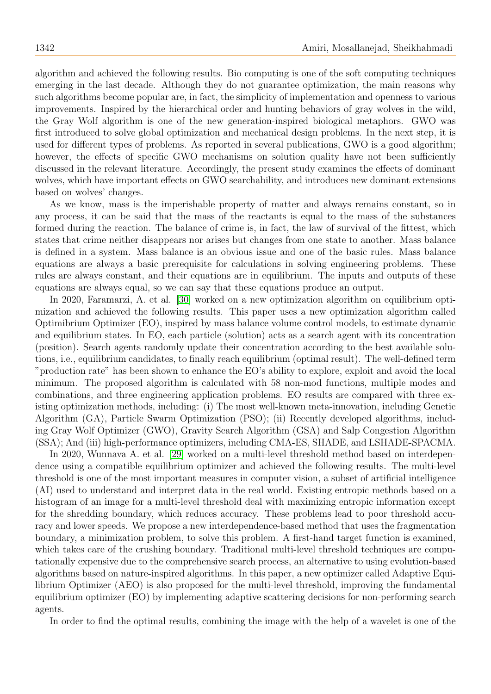algorithm and achieved the following results. Bio computing is one of the soft computing techniques emerging in the last decade. Although they do not guarantee optimization, the main reasons why such algorithms become popular are, in fact, the simplicity of implementation and openness to various improvements. Inspired by the hierarchical order and hunting behaviors of gray wolves in the wild, the Gray Wolf algorithm is one of the new generation-inspired biological metaphors. GWO was first introduced to solve global optimization and mechanical design problems. In the next step, it is used for different types of problems. As reported in several publications, GWO is a good algorithm; however, the effects of specific GWO mechanisms on solution quality have not been sufficiently discussed in the relevant literature. Accordingly, the present study examines the effects of dominant wolves, which have important effects on GWO searchability, and introduces new dominant extensions based on wolves' changes.

As we know, mass is the imperishable property of matter and always remains constant, so in any process, it can be said that the mass of the reactants is equal to the mass of the substances formed during the reaction. The balance of crime is, in fact, the law of survival of the fittest, which states that crime neither disappears nor arises but changes from one state to another. Mass balance is defined in a system. Mass balance is an obvious issue and one of the basic rules. Mass balance equations are always a basic prerequisite for calculations in solving engineering problems. These rules are always constant, and their equations are in equilibrium. The inputs and outputs of these equations are always equal, so we can say that these equations produce an output.

In 2020, Faramarzi, A. et al. [\[30\]](#page-17-5) worked on a new optimization algorithm on equilibrium optimization and achieved the following results. This paper uses a new optimization algorithm called Optimibrium Optimizer (EO), inspired by mass balance volume control models, to estimate dynamic and equilibrium states. In EO, each particle (solution) acts as a search agent with its concentration (position). Search agents randomly update their concentration according to the best available solutions, i.e., equilibrium candidates, to finally reach equilibrium (optimal result). The well-defined term "production rate" has been shown to enhance the EO's ability to explore, exploit and avoid the local minimum. The proposed algorithm is calculated with 58 non-mod functions, multiple modes and combinations, and three engineering application problems. EO results are compared with three existing optimization methods, including: (i) The most well-known meta-innovation, including Genetic Algorithm (GA), Particle Swarm Optimization (PSO); (ii) Recently developed algorithms, including Gray Wolf Optimizer (GWO), Gravity Search Algorithm (GSA) and Salp Congestion Algorithm (SSA); And (iii) high-performance optimizers, including CMA-ES, SHADE, and LSHADE-SPACMA.

In 2020, Wunnava A. et al. [\[29\]](#page-17-6) worked on a multi-level threshold method based on interdependence using a compatible equilibrium optimizer and achieved the following results. The multi-level threshold is one of the most important measures in computer vision, a subset of artificial intelligence (AI) used to understand and interpret data in the real world. Existing entropic methods based on a histogram of an image for a multi-level threshold deal with maximizing entropic information except for the shredding boundary, which reduces accuracy. These problems lead to poor threshold accuracy and lower speeds. We propose a new interdependence-based method that uses the fragmentation boundary, a minimization problem, to solve this problem. A first-hand target function is examined, which takes care of the crushing boundary. Traditional multi-level threshold techniques are computationally expensive due to the comprehensive search process, an alternative to using evolution-based algorithms based on nature-inspired algorithms. In this paper, a new optimizer called Adaptive Equilibrium Optimizer (AEO) is also proposed for the multi-level threshold, improving the fundamental equilibrium optimizer (EO) by implementing adaptive scattering decisions for non-performing search agents.

In order to find the optimal results, combining the image with the help of a wavelet is one of the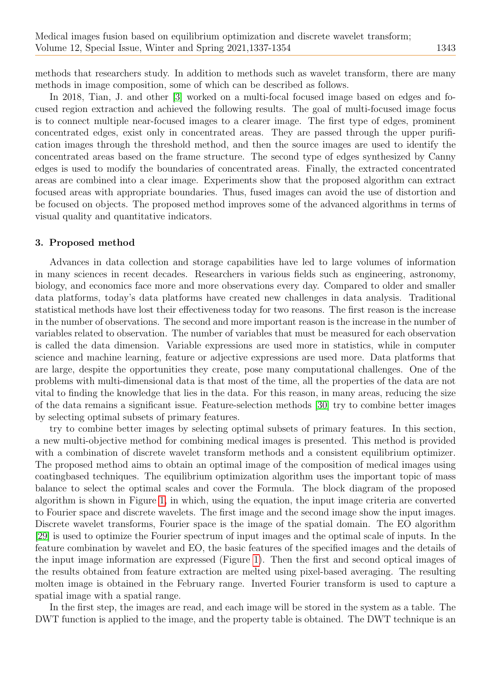methods that researchers study. In addition to methods such as wavelet transform, there are many methods in image composition, some of which can be described as follows.

In 2018, Tian, J. and other [\[3\]](#page-16-2) worked on a multi-focal focused image based on edges and focused region extraction and achieved the following results. The goal of multi-focused image focus is to connect multiple near-focused images to a clearer image. The first type of edges, prominent concentrated edges, exist only in concentrated areas. They are passed through the upper purification images through the threshold method, and then the source images are used to identify the concentrated areas based on the frame structure. The second type of edges synthesized by Canny edges is used to modify the boundaries of concentrated areas. Finally, the extracted concentrated areas are combined into a clear image. Experiments show that the proposed algorithm can extract focused areas with appropriate boundaries. Thus, fused images can avoid the use of distortion and be focused on objects. The proposed method improves some of the advanced algorithms in terms of visual quality and quantitative indicators.

## 3. Proposed method

Advances in data collection and storage capabilities have led to large volumes of information in many sciences in recent decades. Researchers in various fields such as engineering, astronomy, biology, and economics face more and more observations every day. Compared to older and smaller data platforms, today's data platforms have created new challenges in data analysis. Traditional statistical methods have lost their effectiveness today for two reasons. The first reason is the increase in the number of observations. The second and more important reason is the increase in the number of variables related to observation. The number of variables that must be measured for each observation is called the data dimension. Variable expressions are used more in statistics, while in computer science and machine learning, feature or adjective expressions are used more. Data platforms that are large, despite the opportunities they create, pose many computational challenges. One of the problems with multi-dimensional data is that most of the time, all the properties of the data are not vital to finding the knowledge that lies in the data. For this reason, in many areas, reducing the size of the data remains a significant issue. Feature-selection methods [\[30\]](#page-17-5) try to combine better images by selecting optimal subsets of primary features.

try to combine better images by selecting optimal subsets of primary features. In this section, a new multi-objective method for combining medical images is presented. This method is provided with a combination of discrete wavelet transform methods and a consistent equilibrium optimizer. The proposed method aims to obtain an optimal image of the composition of medical images using coatingbased techniques. The equilibrium optimization algorithm uses the important topic of mass balance to select the optimal scales and cover the Formula. The block diagram of the proposed algorithm is shown in Figure [1,](#page-7-0) in which, using the equation, the input image criteria are converted to Fourier space and discrete wavelets. The first image and the second image show the input images. Discrete wavelet transforms, Fourier space is the image of the spatial domain. The EO algorithm [\[29\]](#page-17-6) is used to optimize the Fourier spectrum of input images and the optimal scale of inputs. In the feature combination by wavelet and EO, the basic features of the specified images and the details of the input image information are expressed (Figure [1\)](#page-7-0). Then the first and second optical images of the results obtained from feature extraction are melted using pixel-based averaging. The resulting molten image is obtained in the February range. Inverted Fourier transform is used to capture a spatial image with a spatial range.

In the first step, the images are read, and each image will be stored in the system as a table. The DWT function is applied to the image, and the property table is obtained. The DWT technique is an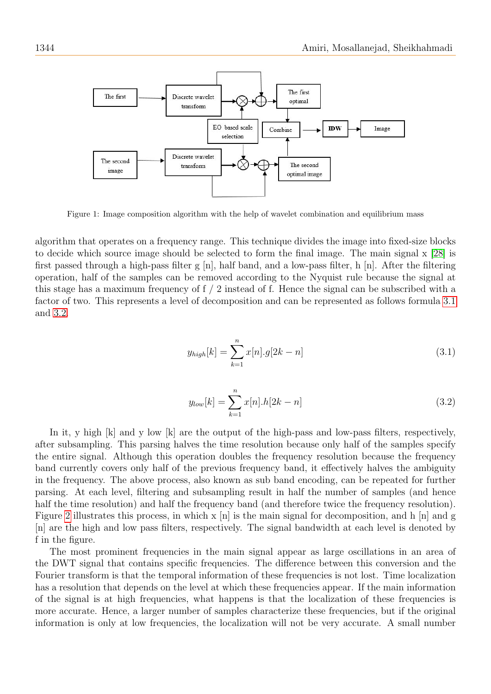

<span id="page-7-0"></span>Figure 1: Image composition algorithm with the help of wavelet combination and equilibrium mass

algorithm that operates on a frequency range. This technique divides the image into fixed-size blocks to decide which source image should be selected to form the final image. The main signal x [\[28\]](#page-17-7) is first passed through a high-pass filter g [n], half band, and a low-pass filter, h [n]. After the filtering operation, half of the samples can be removed according to the Nyquist rule because the signal at this stage has a maximum frequency of f / 2 instead of f. Hence the signal can be subscribed with a factor of two. This represents a level of decomposition and can be represented as follows formula [3.1](#page-7-1) and [3.2.](#page-7-2)

<span id="page-7-1"></span>
$$
y_{high}[k] = \sum_{k=1}^{n} x[n].g[2k - n]
$$
\n(3.1)

<span id="page-7-2"></span>
$$
y_{low}[k] = \sum_{k=1}^{n} x[n].h[2k - n]
$$
\n(3.2)

In it, y high [k] and y low [k] are the output of the high-pass and low-pass filters, respectively, after subsampling. This parsing halves the time resolution because only half of the samples specify the entire signal. Although this operation doubles the frequency resolution because the frequency band currently covers only half of the previous frequency band, it effectively halves the ambiguity in the frequency. The above process, also known as sub band encoding, can be repeated for further parsing. At each level, filtering and subsampling result in half the number of samples (and hence half the time resolution) and half the frequency band (and therefore twice the frequency resolution). Figure [2](#page-8-0) illustrates this process, in which  $x \nvert n$  is the main signal for decomposition, and h  $\nvert n \rvert$  and g [n] are the high and low pass filters, respectively. The signal bandwidth at each level is denoted by f in the figure.

The most prominent frequencies in the main signal appear as large oscillations in an area of the DWT signal that contains specific frequencies. The difference between this conversion and the Fourier transform is that the temporal information of these frequencies is not lost. Time localization has a resolution that depends on the level at which these frequencies appear. If the main information of the signal is at high frequencies, what happens is that the localization of these frequencies is more accurate. Hence, a larger number of samples characterize these frequencies, but if the original information is only at low frequencies, the localization will not be very accurate. A small number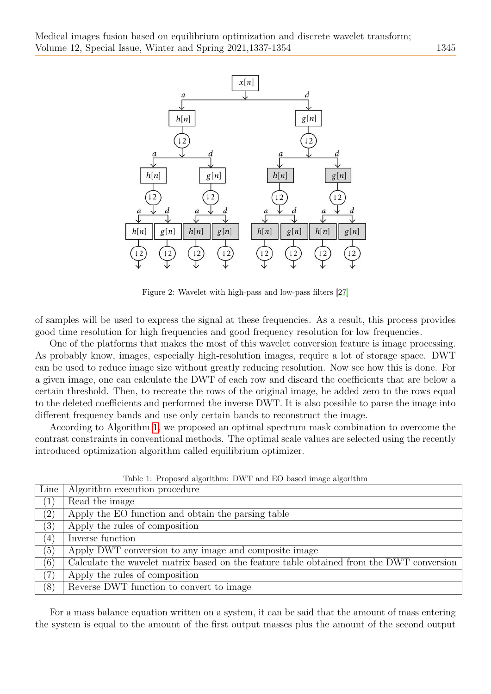

<span id="page-8-0"></span>Figure 2: Wavelet with high-pass and low-pass filters [\[27\]](#page-17-3)

of samples will be used to express the signal at these frequencies. As a result, this process provides good time resolution for high frequencies and good frequency resolution for low frequencies.

One of the platforms that makes the most of this wavelet conversion feature is image processing. As probably know, images, especially high-resolution images, require a lot of storage space. DWT can be used to reduce image size without greatly reducing resolution. Now see how this is done. For a given image, one can calculate the DWT of each row and discard the coefficients that are below a certain threshold. Then, to recreate the rows of the original image, he added zero to the rows equal to the deleted coefficients and performed the inverse DWT. It is also possible to parse the image into different frequency bands and use only certain bands to reconstruct the image.

According to Algorithm [1,](#page-8-1) we proposed an optimal spectrum mask combination to overcome the contrast constraints in conventional methods. The optimal scale values are selected using the recently introduced optimization algorithm called equilibrium optimizer.

| Line              | Algorithm execution procedure                                                            |
|-------------------|------------------------------------------------------------------------------------------|
| (1)               | Read the image                                                                           |
| $\left( 2\right)$ | Apply the EO function and obtain the parsing table                                       |
| (3)               | Apply the rules of composition                                                           |
| (4)               | Inverse function                                                                         |
| (5)               | Apply DWT conversion to any image and composite image                                    |
| (6)               | Calculate the wavelet matrix based on the feature table obtained from the DWT conversion |
| (7)               | Apply the rules of composition                                                           |
| (8)               | Reverse DWT function to convert to image                                                 |

<span id="page-8-1"></span>Table 1: Proposed algorithm: DWT and EO based image algorithm

For a mass balance equation written on a system, it can be said that the amount of mass entering the system is equal to the amount of the first output masses plus the amount of the second output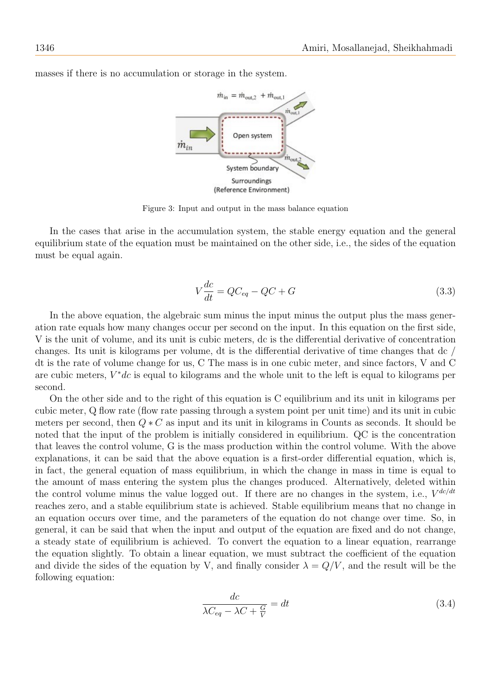

masses if there is no accumulation or storage in the system.

Figure 3: Input and output in the mass balance equation

In the cases that arise in the accumulation system, the stable energy equation and the general equilibrium state of the equation must be maintained on the other side, i.e., the sides of the equation must be equal again.

$$
V\frac{dc}{dt} = QC_{eq} - QC + G\tag{3.3}
$$

In the above equation, the algebraic sum minus the input minus the output plus the mass generation rate equals how many changes occur per second on the input. In this equation on the first side, V is the unit of volume, and its unit is cubic meters, dc is the differential derivative of concentration changes. Its unit is kilograms per volume, dt is the differential derivative of time changes that dc / dt is the rate of volume change for us, C The mass is in one cubic meter, and since factors, V and C are cubic meters,  $V^*dc$  is equal to kilograms and the whole unit to the left is equal to kilograms per second.

On the other side and to the right of this equation is C equilibrium and its unit in kilograms per cubic meter, Q flow rate (flow rate passing through a system point per unit time) and its unit in cubic meters per second, then  $Q * C$  as input and its unit in kilograms in Counts as seconds. It should be noted that the input of the problem is initially considered in equilibrium. QC is the concentration that leaves the control volume, G is the mass production within the control volume. With the above explanations, it can be said that the above equation is a first-order differential equation, which is, in fact, the general equation of mass equilibrium, in which the change in mass in time is equal to the amount of mass entering the system plus the changes produced. Alternatively, deleted within the control volume minus the value logged out. If there are no changes in the system, i.e.,  $V^{dc/dt}$ reaches zero, and a stable equilibrium state is achieved. Stable equilibrium means that no change in an equation occurs over time, and the parameters of the equation do not change over time. So, in general, it can be said that when the input and output of the equation are fixed and do not change, a steady state of equilibrium is achieved. To convert the equation to a linear equation, rearrange the equation slightly. To obtain a linear equation, we must subtract the coefficient of the equation and divide the sides of the equation by V, and finally consider  $\lambda = Q/V$ , and the result will be the following equation:

$$
\frac{dc}{\lambda C_{eq} - \lambda C + \frac{G}{V}} = dt
$$
\n(3.4)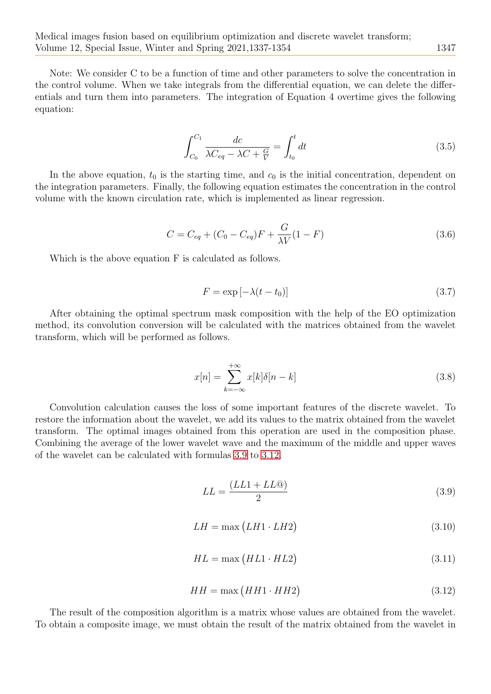Note: We consider C to be a function of time and other parameters to solve the concentration in the control volume. When we take integrals from the differential equation, we can delete the differentials and turn them into parameters. The integration of Equation 4 overtime gives the following equation:

$$
\int_{C_0}^{C_1} \frac{dc}{\lambda C_{eq} - \lambda C + \frac{G}{V}} = \int_{t_0}^t dt
$$
\n(3.5)

In the above equation,  $t_0$  is the starting time, and  $c_0$  is the initial concentration, dependent on the integration parameters. Finally, the following equation estimates the concentration in the control volume with the known circulation rate, which is implemented as linear regression.

$$
C = C_{eq} + (C_0 - C_{eq})F + \frac{G}{\lambda V}(1 - F)
$$
\n(3.6)

Which is the above equation F is calculated as follows.

$$
F = \exp\left[-\lambda(t - t_0)\right] \tag{3.7}
$$

After obtaining the optimal spectrum mask composition with the help of the EO optimization method, its convolution conversion will be calculated with the matrices obtained from the wavelet transform, which will be performed as follows.

$$
x[n] = \sum_{k=-\infty}^{+\infty} x[k]\delta[n-k]
$$
\n(3.8)

Convolution calculation causes the loss of some important features of the discrete wavelet. To restore the information about the wavelet, we add its values to the matrix obtained from the wavelet transform. The optimal images obtained from this operation are used in the composition phase. Combining the average of the lower wavelet wave and the maximum of the middle and upper waves of the wavelet can be calculated with formulas [3.9](#page-10-0) to [3.12.](#page-10-1)

<span id="page-10-0"></span>
$$
LL = \frac{(LL1 + LL@)}{2} \tag{3.9}
$$

$$
LH = \max(LH1 \cdot LH2) \tag{3.10}
$$

<span id="page-10-1"></span>
$$
HL = \max\left(HL1 \cdot HL2\right) \tag{3.11}
$$

$$
HH = \max\left(HH1 \cdot HH2\right) \tag{3.12}
$$

The result of the composition algorithm is a matrix whose values are obtained from the wavelet. To obtain a composite image, we must obtain the result of the matrix obtained from the wavelet in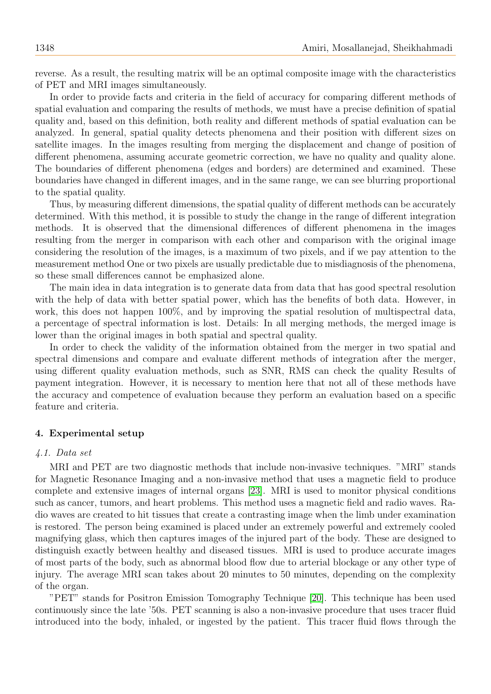reverse. As a result, the resulting matrix will be an optimal composite image with the characteristics of PET and MRI images simultaneously.

In order to provide facts and criteria in the field of accuracy for comparing different methods of spatial evaluation and comparing the results of methods, we must have a precise definition of spatial quality and, based on this definition, both reality and different methods of spatial evaluation can be analyzed. In general, spatial quality detects phenomena and their position with different sizes on satellite images. In the images resulting from merging the displacement and change of position of different phenomena, assuming accurate geometric correction, we have no quality and quality alone. The boundaries of different phenomena (edges and borders) are determined and examined. These boundaries have changed in different images, and in the same range, we can see blurring proportional to the spatial quality.

Thus, by measuring different dimensions, the spatial quality of different methods can be accurately determined. With this method, it is possible to study the change in the range of different integration methods. It is observed that the dimensional differences of different phenomena in the images resulting from the merger in comparison with each other and comparison with the original image considering the resolution of the images, is a maximum of two pixels, and if we pay attention to the measurement method One or two pixels are usually predictable due to misdiagnosis of the phenomena, so these small differences cannot be emphasized alone.

The main idea in data integration is to generate data from data that has good spectral resolution with the help of data with better spatial power, which has the benefits of both data. However, in work, this does not happen 100%, and by improving the spatial resolution of multispectral data, a percentage of spectral information is lost. Details: In all merging methods, the merged image is lower than the original images in both spatial and spectral quality.

In order to check the validity of the information obtained from the merger in two spatial and spectral dimensions and compare and evaluate different methods of integration after the merger, using different quality evaluation methods, such as SNR, RMS can check the quality Results of payment integration. However, it is necessary to mention here that not all of these methods have the accuracy and competence of evaluation because they perform an evaluation based on a specific feature and criteria.

# 4. Experimental setup

#### 4.1. Data set

MRI and PET are two diagnostic methods that include non-invasive techniques. "MRI" stands for Magnetic Resonance Imaging and a non-invasive method that uses a magnetic field to produce complete and extensive images of internal organs [\[23\]](#page-17-8). MRI is used to monitor physical conditions such as cancer, tumors, and heart problems. This method uses a magnetic field and radio waves. Radio waves are created to hit tissues that create a contrasting image when the limb under examination is restored. The person being examined is placed under an extremely powerful and extremely cooled magnifying glass, which then captures images of the injured part of the body. These are designed to distinguish exactly between healthy and diseased tissues. MRI is used to produce accurate images of most parts of the body, such as abnormal blood flow due to arterial blockage or any other type of injury. The average MRI scan takes about 20 minutes to 50 minutes, depending on the complexity of the organ.

"PET" stands for Positron Emission Tomography Technique [\[20\]](#page-16-20). This technique has been used continuously since the late '50s. PET scanning is also a non-invasive procedure that uses tracer fluid introduced into the body, inhaled, or ingested by the patient. This tracer fluid flows through the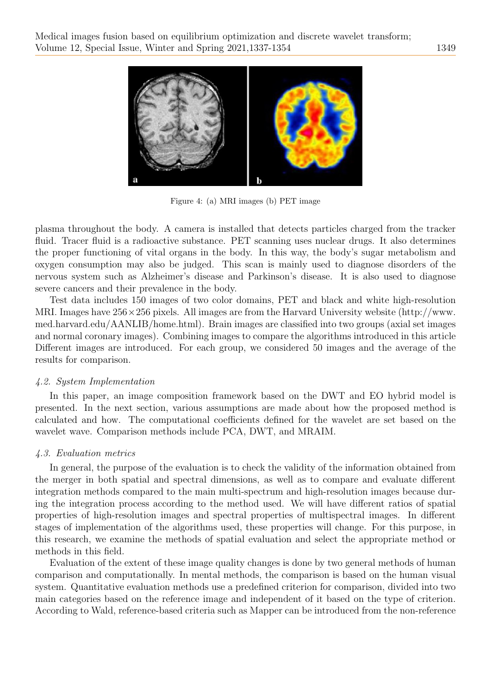

Figure 4: (a) MRI images (b) PET image

plasma throughout the body. A camera is installed that detects particles charged from the tracker fluid. Tracer fluid is a radioactive substance. PET scanning uses nuclear drugs. It also determines the proper functioning of vital organs in the body. In this way, the body's sugar metabolism and oxygen consumption may also be judged. This scan is mainly used to diagnose disorders of the nervous system such as Alzheimer's disease and Parkinson's disease. It is also used to diagnose severe cancers and their prevalence in the body.

Test data includes 150 images of two color domains, PET and black and white high-resolution MRI. Images have  $256 \times 256$  pixels. All images are from the Harvard University website (http://www. med.harvard.edu/AANLIB/home.html). Brain images are classified into two groups (axial set images and normal coronary images). Combining images to compare the algorithms introduced in this article Different images are introduced. For each group, we considered 50 images and the average of the results for comparison.

# 4.2. System Implementation

In this paper, an image composition framework based on the DWT and EO hybrid model is presented. In the next section, various assumptions are made about how the proposed method is calculated and how. The computational coefficients defined for the wavelet are set based on the wavelet wave. Comparison methods include PCA, DWT, and MRAIM.

# 4.3. Evaluation metrics

In general, the purpose of the evaluation is to check the validity of the information obtained from the merger in both spatial and spectral dimensions, as well as to compare and evaluate different integration methods compared to the main multi-spectrum and high-resolution images because during the integration process according to the method used. We will have different ratios of spatial properties of high-resolution images and spectral properties of multispectral images. In different stages of implementation of the algorithms used, these properties will change. For this purpose, in this research, we examine the methods of spatial evaluation and select the appropriate method or methods in this field.

Evaluation of the extent of these image quality changes is done by two general methods of human comparison and computationally. In mental methods, the comparison is based on the human visual system. Quantitative evaluation methods use a predefined criterion for comparison, divided into two main categories based on the reference image and independent of it based on the type of criterion. According to Wald, reference-based criteria such as Mapper can be introduced from the non-reference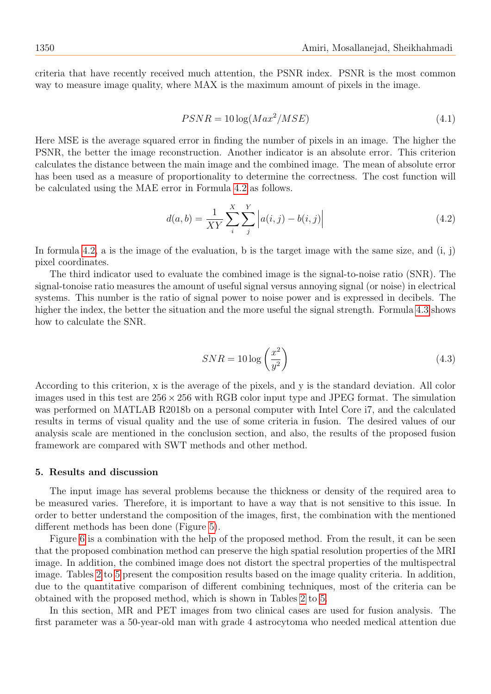criteria that have recently received much attention, the PSNR index. PSNR is the most common way to measure image quality, where MAX is the maximum amount of pixels in the image.

$$
PSNR = 10\log(Max^2/MSE) \tag{4.1}
$$

Here MSE is the average squared error in finding the number of pixels in an image. The higher the PSNR, the better the image reconstruction. Another indicator is an absolute error. This criterion calculates the distance between the main image and the combined image. The mean of absolute error has been used as a measure of proportionality to determine the correctness. The cost function will be calculated using the MAE error in Formula [4.2](#page-13-0) as follows.

<span id="page-13-0"></span>
$$
d(a,b) = \frac{1}{XY} \sum_{i}^{X} \sum_{j}^{Y} \left| a(i,j) - b(i,j) \right|
$$
\n(4.2)

In formula [4.2,](#page-13-0) a is the image of the evaluation, b is the target image with the same size, and  $(i, j)$ pixel coordinates.

The third indicator used to evaluate the combined image is the signal-to-noise ratio (SNR). The signal-tonoise ratio measures the amount of useful signal versus annoying signal (or noise) in electrical systems. This number is the ratio of signal power to noise power and is expressed in decibels. The higher the index, the better the situation and the more useful the signal strength. Formula [4.3](#page-13-1) shows how to calculate the SNR.

<span id="page-13-1"></span>
$$
SNR = 10\log\left(\frac{x^2}{y^2}\right) \tag{4.3}
$$

According to this criterion, x is the average of the pixels, and y is the standard deviation. All color images used in this test are  $256 \times 256$  with RGB color input type and JPEG format. The simulation was performed on MATLAB R2018b on a personal computer with Intel Core i7, and the calculated results in terms of visual quality and the use of some criteria in fusion. The desired values of our analysis scale are mentioned in the conclusion section, and also, the results of the proposed fusion framework are compared with SWT methods and other method.

### 5. Results and discussion

The input image has several problems because the thickness or density of the required area to be measured varies. Therefore, it is important to have a way that is not sensitive to this issue. In order to better understand the composition of the images, first, the combination with the mentioned different methods has been done (Figure [5\)](#page-14-0).

Figure [6](#page-14-1) is a combination with the help of the proposed method. From the result, it can be seen that the proposed combination method can preserve the high spatial resolution properties of the MRI image. In addition, the combined image does not distort the spectral properties of the multispectral image. Tables [2](#page-14-2) to [5](#page-15-0) present the composition results based on the image quality criteria. In addition, due to the quantitative comparison of different combining techniques, most of the criteria can be obtained with the proposed method, which is shown in Tables [2](#page-14-2) to [5.](#page-15-0)

In this section, MR and PET images from two clinical cases are used for fusion analysis. The first parameter was a 50-year-old man with grade 4 astrocytoma who needed medical attention due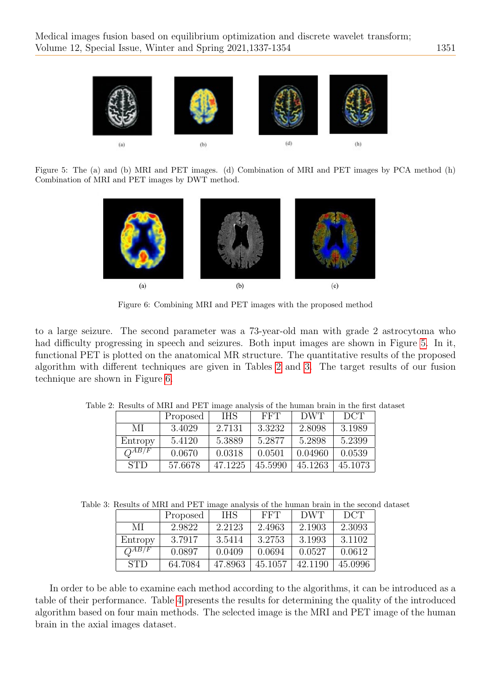

Figure 5: The (a) and (b) MRI and PET images. (d) Combination of MRI and PET images by PCA method (h) Combination of MRI and PET images by DWT method.

<span id="page-14-0"></span>

Figure 6: Combining MRI and PET images with the proposed method

to a large seizure. The second parameter was a 73-year-old man with grade 2 astrocytoma who had difficulty progressing in speech and seizures. Both input images are shown in Figure [5.](#page-14-0) In it, functional PET is plotted on the anatomical MR structure. The quantitative results of the proposed algorithm with different techniques are given in Tables [2](#page-14-2) and [3.](#page-14-3) The target results of our fusion technique are shown in Figure [6.](#page-14-1)

<span id="page-14-2"></span><span id="page-14-1"></span>

|            | Proposed | <b>IHS</b> | FFT     | DWT     | DCT     |
|------------|----------|------------|---------|---------|---------|
| МI         | 3.4029   | 2.7131     | 3.3232  | 2.8098  | 3.1989  |
| Entropy    | 5.4120   | 5.3889     | 5.2877  | 5.2898  | 5.2399  |
| $O^{AB/F}$ | 0.0670   | 0.0318     | 0.0501  | 0.04960 | 0.0539  |
| <b>STD</b> | 57.6678  | 47.1225    | 45.5990 | 45.1263 | 45.1073 |

Table 2: Results of MRI and PET image analysis of the human brain in the first dataset

Table 3: Results of MRI and PET image analysis of the human brain in the second dataset

<span id="page-14-3"></span>

|            | Proposed | <b>IHS</b> | <b>FFT</b> | DWT     | DCT     |
|------------|----------|------------|------------|---------|---------|
| МI         | 2.9822   | 2.2123     | 2.4963     | 2.1903  | 2.3093  |
| Entropy    | 3.7917   | 3.5414     | 3.2753     | 3.1993  | 3.1102  |
| $O^{AB/F}$ | 0.0897   | 0.0409     | 0.0694     | 0.0527  | 0.0612  |
| <b>STD</b> | 64.7084  | 47.8963    | 45.1057    | 42.1190 | 45.0996 |

In order to be able to examine each method according to the algorithms, it can be introduced as a table of their performance. Table [4](#page-15-1) presents the results for determining the quality of the introduced algorithm based on four main methods. The selected image is the MRI and PET image of the human brain in the axial images dataset.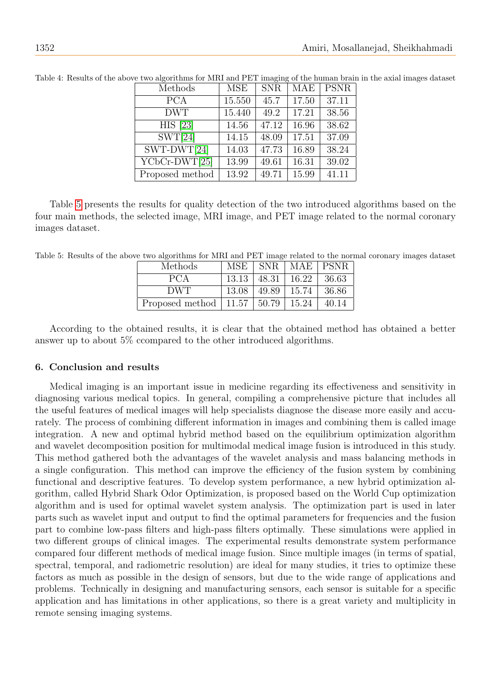| Methods                           | <b>MSE</b> | <b>SNR</b> | MAE   | <b>PSNR</b> |
|-----------------------------------|------------|------------|-------|-------------|
| <b>PCA</b>                        | 15.550     | 45.7       | 17.50 | 37.11       |
| <b>DWT</b>                        | 15.440     | 49.2       | 17.21 | 38.56       |
| <b>HIS</b> [23]                   | 14.56      | 47.12      | 16.96 | 38.62       |
| SWT[24]                           | 14.15      | 48.09      | 17.51 | 37.09       |
| $SWT-DWT[24]$                     | 14.03      | 47.73      | 16.89 | 38.24       |
| $\overline{\text{YCbCr-DWT}[25]}$ | 13.99      | 49.61      | 16.31 | 39.02       |
| Proposed method                   | 13.92      | 49.71      | 15.99 | 41.11       |

<span id="page-15-1"></span>Table 4: Results of the above two algorithms for MRI and PET imaging of the human brain in the axial images dataset

Table [5](#page-15-0) presents the results for quality detection of the two introduced algorithms based on the four main methods, the selected image, MRI image, and PET image related to the normal coronary images dataset.

<span id="page-15-0"></span>Table 5: Results of the above two algorithms for MRI and PET image related to the normal coronary images dataset

| Methods                             | MSE   |       | SNR   MAE   PSNR |       |
|-------------------------------------|-------|-------|------------------|-------|
| PCA                                 | 13.13 | 48.31 | 16.22            | 36.63 |
| DWT                                 | 13.08 | 49.89 | 15.74            | 36.86 |
| Proposed method   $11.57$   $50.79$ |       |       | 15.24            | 40.14 |

According to the obtained results, it is clear that the obtained method has obtained a better answer up to about 5% ccompared to the other introduced algorithms.

# 6. Conclusion and results

Medical imaging is an important issue in medicine regarding its effectiveness and sensitivity in diagnosing various medical topics. In general, compiling a comprehensive picture that includes all the useful features of medical images will help specialists diagnose the disease more easily and accurately. The process of combining different information in images and combining them is called image integration. A new and optimal hybrid method based on the equilibrium optimization algorithm and wavelet decomposition position for multimodal medical image fusion is introduced in this study. This method gathered both the advantages of the wavelet analysis and mass balancing methods in a single configuration. This method can improve the efficiency of the fusion system by combining functional and descriptive features. To develop system performance, a new hybrid optimization algorithm, called Hybrid Shark Odor Optimization, is proposed based on the World Cup optimization algorithm and is used for optimal wavelet system analysis. The optimization part is used in later parts such as wavelet input and output to find the optimal parameters for frequencies and the fusion part to combine low-pass filters and high-pass filters optimally. These simulations were applied in two different groups of clinical images. The experimental results demonstrate system performance compared four different methods of medical image fusion. Since multiple images (in terms of spatial, spectral, temporal, and radiometric resolution) are ideal for many studies, it tries to optimize these factors as much as possible in the design of sensors, but due to the wide range of applications and problems. Technically in designing and manufacturing sensors, each sensor is suitable for a specific application and has limitations in other applications, so there is a great variety and multiplicity in remote sensing imaging systems.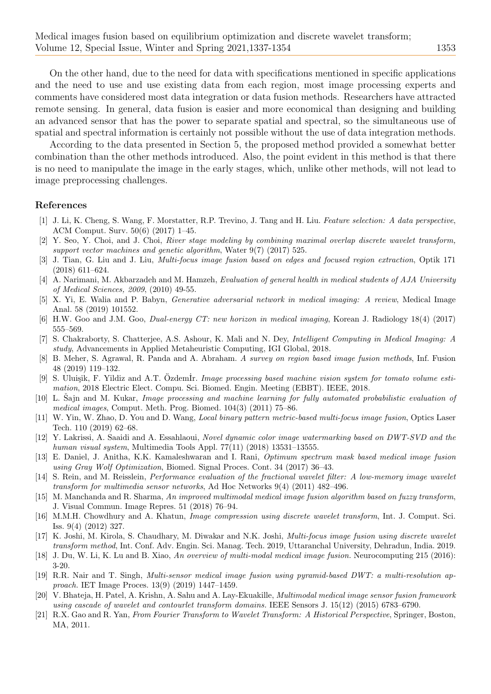On the other hand, due to the need for data with specifications mentioned in specific applications and the need to use and use existing data from each region, most image processing experts and comments have considered most data integration or data fusion methods. Researchers have attracted remote sensing. In general, data fusion is easier and more economical than designing and building an advanced sensor that has the power to separate spatial and spectral, so the simultaneous use of spatial and spectral information is certainly not possible without the use of data integration methods.

According to the data presented in Section 5, the proposed method provided a somewhat better combination than the other methods introduced. Also, the point evident in this method is that there is no need to manipulate the image in the early stages, which, unlike other methods, will not lead to image preprocessing challenges.

## References

- <span id="page-16-0"></span>[1] J. Li, K. Cheng, S. Wang, F. Morstatter, R.P. Trevino, J. Tang and H. Liu. Feature selection: A data perspective, ACM Comput. Surv. 50(6) (2017) 1–45.
- <span id="page-16-1"></span>[2] Y. Seo, Y. Choi, and J. Choi, River stage modeling by combining maximal overlap discrete wavelet transform, support vector machines and genetic algorithm, Water 9(7) (2017) 525.
- <span id="page-16-2"></span>[3] J. Tian, G. Liu and J. Liu, Multi-focus image fusion based on edges and focused region extraction, Optik 171 (2018) 611–624.
- <span id="page-16-3"></span>[4] A. Narimani, M. Akbarzadeh and M. Hamzeh, Evaluation of general health in medical students of AJA University of Medical Sciences, 2009, (2010) 49-55.
- <span id="page-16-4"></span>[5] X. Yi, E. Walia and P. Babyn, Generative adversarial network in medical imaging: A review, Medical Image Anal. 58 (2019) 101552.
- <span id="page-16-5"></span>[6] H.W. Goo and J.M. Goo, Dual-energy CT: new horizon in medical imaging, Korean J. Radiology 18(4) (2017) 555–569.
- <span id="page-16-6"></span>[7] S. Chakraborty, S. Chatterjee, A.S. Ashour, K. Mali and N. Dey, Intelligent Computing in Medical Imaging: A study, Advancements in Applied Metaheuristic Computing, IGI Global, 2018.
- <span id="page-16-7"></span>[8] B. Meher, S. Agrawal, R. Panda and A. Abraham. A survey on region based image fusion methods, Inf. Fusion 48 (2019) 119–132.
- <span id="page-16-8"></span>[9] S. Uluişik, F. Yildiz and A.T. Özdem İr. Image processing based machine vision system for tomato volume estimation, 2018 Electric Elect. Compu. Sci. Biomed. Engin. Meeting (EBBT). IEEE, 2018.
- <span id="page-16-9"></span>[10] L. Sajn and M. Kukar, *Image processing and machine learning for fully automated probabilistic evaluation of* medical images, Comput. Meth. Prog. Biomed. 104(3) (2011) 75–86.
- <span id="page-16-11"></span>[11] W. Yin, W. Zhao, D. You and D. Wang, Local binary pattern metric-based multi-focus image fusion, Optics Laser Tech. 110 (2019) 62–68.
- <span id="page-16-12"></span>[12] Y. Lakrissi, A. Saaidi and A. Essahlaoui, Novel dynamic color image watermarking based on DWT-SVD and the human visual system, Multimedia Tools Appl. 77(11) (2018) 13531–13555.
- <span id="page-16-13"></span>[13] E. Daniel, J. Anitha, K.K. Kamaleshwaran and I. Rani, Optimum spectrum mask based medical image fusion using Gray Wolf Optimization, Biomed. Signal Proces. Cont. 34 (2017) 36–43.
- <span id="page-16-14"></span>[14] S. Rein, and M. Reisslein, Performance evaluation of the fractional wavelet filter: A low-memory image wavelet transform for multimedia sensor networks, Ad Hoc Networks 9(4) (2011) 482–496.
- <span id="page-16-15"></span>[15] M. Manchanda and R. Sharma, An improved multimodal medical image fusion algorithm based on fuzzy transform, J. Visual Commun. Image Repres. 51 (2018) 76–94.
- <span id="page-16-16"></span>[16] M.M.H. Chowdhury and A. Khatun, Image compression using discrete wavelet transform, Int. J. Comput. Sci. Iss. 9(4) (2012) 327.
- <span id="page-16-17"></span>[17] K. Joshi, M. Kirola, S. Chaudhary, M. Diwakar and N.K. Joshi, Multi-focus image fusion using discrete wavelet transform method, Int. Conf. Adv. Engin. Sci. Manag. Tech. 2019, Uttaranchal University, Dehradun, India. 2019.
- <span id="page-16-18"></span>[18] J. Du, W. Li, K. Lu and B. Xiao, An overview of multi-modal medical image fusion. Neurocomputing 215 (2016): 3-20.
- <span id="page-16-19"></span>[19] R.R. Nair and T. Singh, Multi-sensor medical image fusion using pyramid-based DWT: a multi-resolution approach. IET Image Proces. 13(9) (2019) 1447–1459.
- <span id="page-16-20"></span>[20] V. Bhateja, H. Patel, A. Krishn, A. Sahu and A. Lay-Ekuakille, Multimodal medical image sensor fusion framework using cascade of wavelet and contourlet transform domains. IEEE Sensors J. 15(12) (2015) 6783–6790.
- <span id="page-16-10"></span>[21] R.X. Gao and R. Yan, From Fourier Transform to Wavelet Transform: A Historical Perspective, Springer, Boston, MA, 2011.